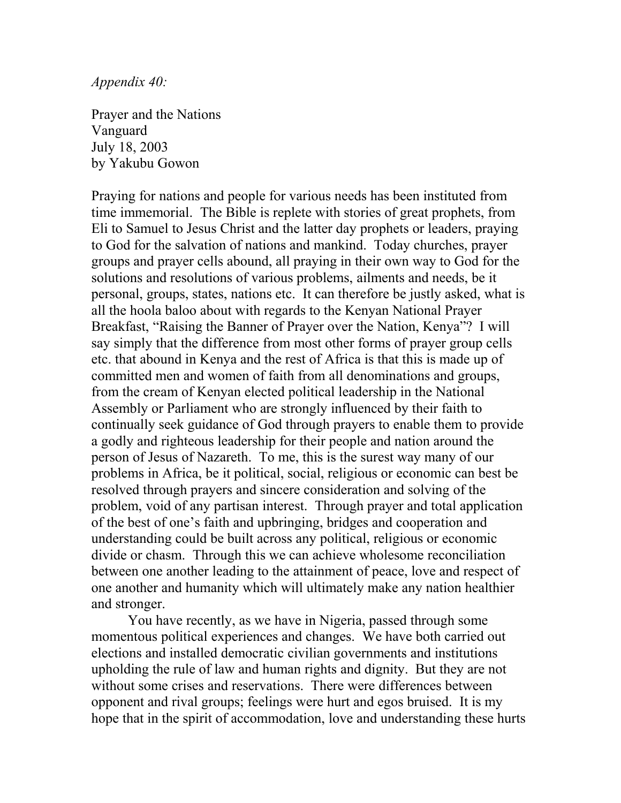*Appendix 40:*

Prayer and the Nations Vanguard July 18, 2003 by Yakubu Gowon

Praying for nations and people for various needs has been instituted from time immemorial. The Bible is replete with stories of great prophets, from Eli to Samuel to Jesus Christ and the latter day prophets or leaders, praying to God for the salvation of nations and mankind. Today churches, prayer groups and prayer cells abound, all praying in their own way to God for the solutions and resolutions of various problems, ailments and needs, be it personal, groups, states, nations etc. It can therefore be justly asked, what is all the hoola baloo about with regards to the Kenyan National Prayer Breakfast, "Raising the Banner of Prayer over the Nation, Kenya"? I will say simply that the difference from most other forms of prayer group cells etc. that abound in Kenya and the rest of Africa is that this is made up of committed men and women of faith from all denominations and groups, from the cream of Kenyan elected political leadership in the National Assembly or Parliament who are strongly influenced by their faith to continually seek guidance of God through prayers to enable them to provide a godly and righteous leadership for their people and nation around the person of Jesus of Nazareth. To me, this is the surest way many of our problems in Africa, be it political, social, religious or economic can best be resolved through prayers and sincere consideration and solving of the problem, void of any partisan interest. Through prayer and total application of the best of one's faith and upbringing, bridges and cooperation and understanding could be built across any political, religious or economic divide or chasm. Through this we can achieve wholesome reconciliation between one another leading to the attainment of peace, love and respect of one another and humanity which will ultimately make any nation healthier and stronger.

You have recently, as we have in Nigeria, passed through some momentous political experiences and changes. We have both carried out elections and installed democratic civilian governments and institutions upholding the rule of law and human rights and dignity. But they are not without some crises and reservations. There were differences between opponent and rival groups; feelings were hurt and egos bruised. It is my hope that in the spirit of accommodation, love and understanding these hurts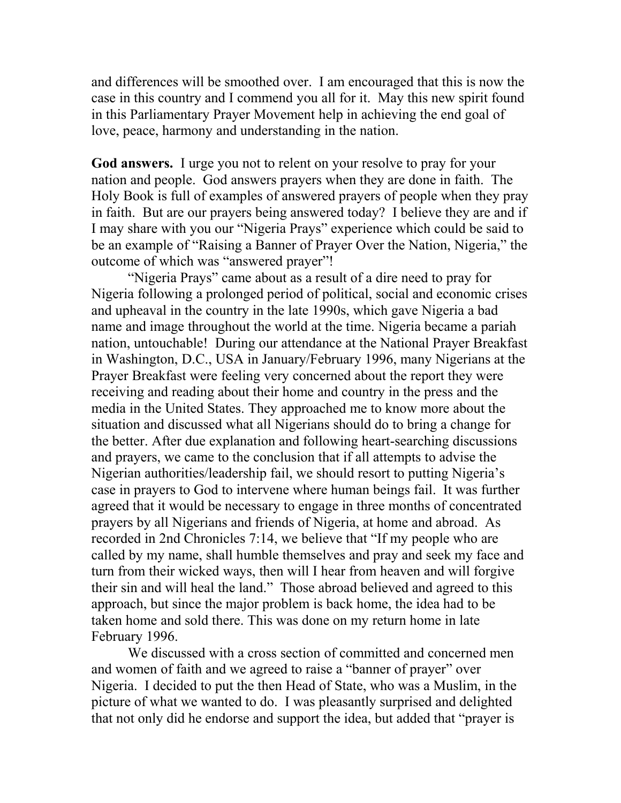and differences will be smoothed over. I am encouraged that this is now the case in this country and I commend you all for it. May this new spirit found in this Parliamentary Prayer Movement help in achieving the end goal of love, peace, harmony and understanding in the nation.

**God answers.** I urge you not to relent on your resolve to pray for your nation and people. God answers prayers when they are done in faith. The Holy Book is full of examples of answered prayers of people when they pray in faith. But are our prayers being answered today? I believe they are and if I may share with you our "Nigeria Prays" experience which could be said to be an example of "Raising a Banner of Prayer Over the Nation, Nigeria," the outcome of which was "answered prayer"!

"Nigeria Prays" came about as a result of a dire need to pray for Nigeria following a prolonged period of political, social and economic crises and upheaval in the country in the late 1990s, which gave Nigeria a bad name and image throughout the world at the time. Nigeria became a pariah nation, untouchable! During our attendance at the National Prayer Breakfast in Washington, D.C., USA in January/February 1996, many Nigerians at the Prayer Breakfast were feeling very concerned about the report they were receiving and reading about their home and country in the press and the media in the United States. They approached me to know more about the situation and discussed what all Nigerians should do to bring a change for the better. After due explanation and following heart-searching discussions and prayers, we came to the conclusion that if all attempts to advise the Nigerian authorities/leadership fail, we should resort to putting Nigeria's case in prayers to God to intervene where human beings fail. It was further agreed that it would be necessary to engage in three months of concentrated prayers by all Nigerians and friends of Nigeria, at home and abroad. As recorded in 2nd Chronicles 7:14, we believe that "If my people who are called by my name, shall humble themselves and pray and seek my face and turn from their wicked ways, then will I hear from heaven and will forgive their sin and will heal the land." Those abroad believed and agreed to this approach, but since the major problem is back home, the idea had to be taken home and sold there. This was done on my return home in late February 1996.

We discussed with a cross section of committed and concerned men and women of faith and we agreed to raise a "banner of prayer" over Nigeria. I decided to put the then Head of State, who was a Muslim, in the picture of what we wanted to do. I was pleasantly surprised and delighted that not only did he endorse and support the idea, but added that "prayer is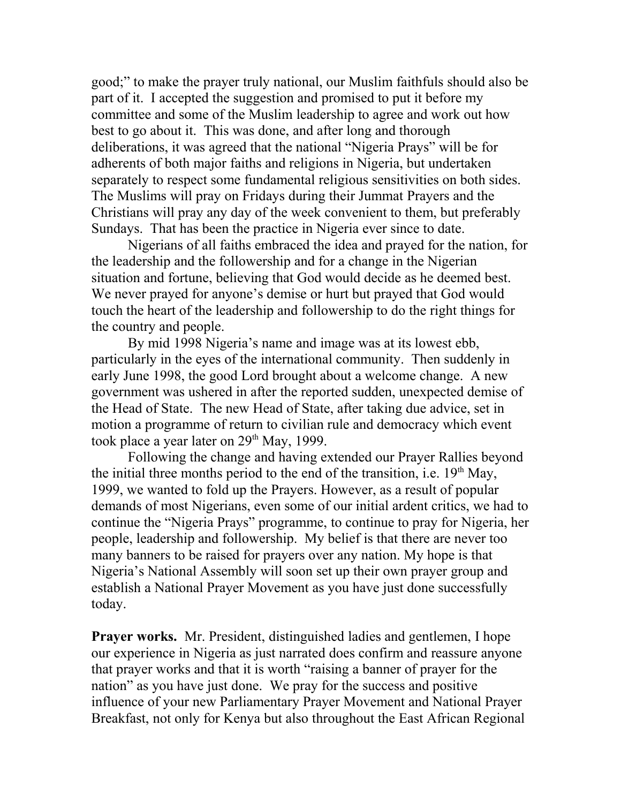good;" to make the prayer truly national, our Muslim faithfuls should also be part of it. I accepted the suggestion and promised to put it before my committee and some of the Muslim leadership to agree and work out how best to go about it. This was done, and after long and thorough deliberations, it was agreed that the national "Nigeria Prays" will be for adherents of both major faiths and religions in Nigeria, but undertaken separately to respect some fundamental religious sensitivities on both sides. The Muslims will pray on Fridays during their Jummat Prayers and the Christians will pray any day of the week convenient to them, but preferably Sundays. That has been the practice in Nigeria ever since to date.

Nigerians of all faiths embraced the idea and prayed for the nation, for the leadership and the followership and for a change in the Nigerian situation and fortune, believing that God would decide as he deemed best. We never prayed for anyone's demise or hurt but prayed that God would touch the heart of the leadership and followership to do the right things for the country and people.

By mid 1998 Nigeria's name and image was at its lowest ebb, particularly in the eyes of the international community. Then suddenly in early June 1998, the good Lord brought about a welcome change. A new government was ushered in after the reported sudden, unexpected demise of the Head of State. The new Head of State, after taking due advice, set in motion a programme of return to civilian rule and democracy which event took place a year later on 29<sup>th</sup> May, 1999.

Following the change and having extended our Prayer Rallies beyond the initial three months period to the end of the transition, i.e.  $19<sup>th</sup>$  May, 1999, we wanted to fold up the Prayers. However, as a result of popular demands of most Nigerians, even some of our initial ardent critics, we had to continue the "Nigeria Prays" programme, to continue to pray for Nigeria, her people, leadership and followership. My belief is that there are never too many banners to be raised for prayers over any nation. My hope is that Nigeria's National Assembly will soon set up their own prayer group and establish a National Prayer Movement as you have just done successfully today.

**Prayer works.** Mr. President, distinguished ladies and gentlemen, I hope our experience in Nigeria as just narrated does confirm and reassure anyone that prayer works and that it is worth "raising a banner of prayer for the nation" as you have just done. We pray for the success and positive influence of your new Parliamentary Prayer Movement and National Prayer Breakfast, not only for Kenya but also throughout the East African Regional